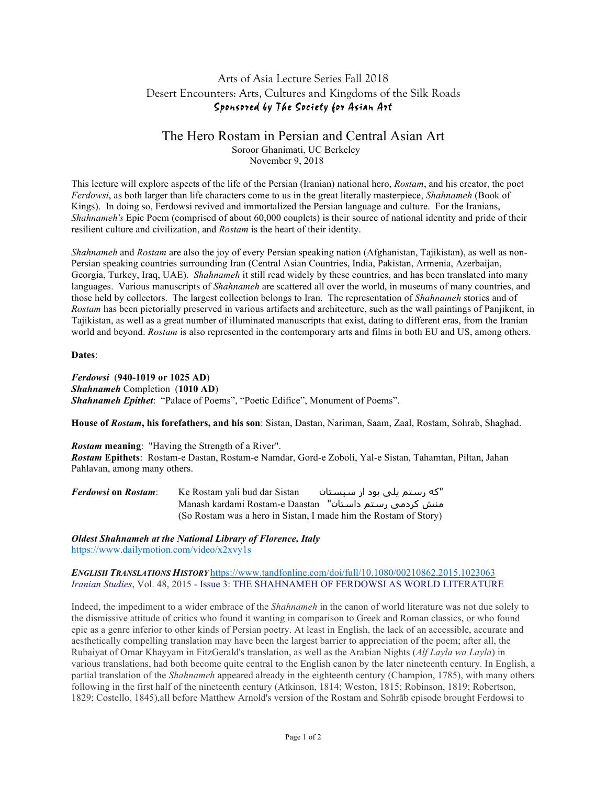## Arts of Asia Lecture Series Fall 2018 Desert Encounters: Arts, Cultures and Kingdoms of the Silk Roads Sponsored by The Society for Asian Art

# The Hero Rostam in Persian and Central Asian Art

Soroor Ghanimati, UC Berkeley November 9, 2018

This lecture will explore aspects of the life of the Persian (Iranian) national hero, *Rostam*, and his creator, the poet *Ferdowsi*, as both larger than life characters come to us in the great literally masterpiece, *Shahnameh* (Book of Kings). In doing so, Ferdowsi revived and immortalized the Persian language and culture. For the Iranians, *Shahnameh's* Epic Poem (comprised of about 60,000 couplets) is their source of national identity and pride of their resilient culture and civilization, and *Rostam* is the heart of their identity.

*Shahnameh* and *Rostam* are also the joy of every Persian speaking nation (Afghanistan, Tajikistan), as well as non-Persian speaking countries surrounding Iran (Central Asian Countries, India, Pakistan, Armenia, Azerbaijan, Georgia, Turkey, Iraq, UAE). *Shahnameh* it still read widely by these countries, and has been translated into many languages. Various manuscripts of *Shahnameh* are scattered all over the world, in museums of many countries, and those held by collectors. The largest collection belongs to Iran. The representation of *Shahnameh* stories and of *Rostam* has been pictorially preserved in various artifacts and architecture, such as the wall paintings of Panjikent, in Tajikistan, as well as a great number of illuminated manuscripts that exist, dating to different eras, from the Iranian world and beyond. *Rostam* is also represented in the contemporary arts and films in both EU and US, among others.

**Dates**:

*Ferdowsi* (**940-1019 or 1025 AD**) *Shahnameh* Completion (**1010 AD**) *Shahnameh Epithet*: "Palace of Poems", "Poetic Edifice", Monument of Poems".

**House of** *Rostam***, his forefathers, and his son**: Sistan, Dastan, Nariman, Saam, Zaal, Rostam, Sohrab, Shaghad.

*Rostam* **meaning**: "Having the Strength of a River". *Rostam* **Epithets**: Rostam-e Dastan, Rostam-e Namdar, Gord-e Zoboli, Yal-e Sistan, Tahamtan, Piltan, Jahan Pahlavan, among many others.

*Ferdowsi* **on** *Rostam*: Ke Rostam yali bud dar Sistan سیستان از بود یلی رستم که" Manash kardami Rostam-e Daastan "داستان رستم کردمی منش (So Rostam was a hero in Sistan, I made him the Rostam of Story)

*Oldest Shahnameh at the National Library of Florence, Italy* https://www.dailymotion.com/video/x2xvy1s

#### *ENGLISH TRANSLATIONS HISTORY* https://www.tandfonline.com/doi/full/10.1080/00210862.2015.1023063 *Iranian Studies*, Vol. 48, 2015 - Issue 3: THE SHAHNAMEH OF FERDOWSI AS WORLD LITERATURE

Indeed, the impediment to a wider embrace of the *Shahnameh* in the canon of world literature was not due solely to the dismissive attitude of critics who found it wanting in comparison to Greek and Roman classics, or who found epic as a genre inferior to other kinds of Persian poetry. At least in English, the lack of an accessible, accurate and aesthetically compelling translation may have been the largest barrier to appreciation of the poem; after all, the Rubaiyat of Omar Khayyam in FitzGerald's translation, as well as the Arabian Nights (*Alf Layla wa Layla*) in various translations, had both become quite central to the English canon by the later nineteenth century. In English, a partial translation of the *Shahnameh* appeared already in the eighteenth century (Champion, 1785), with many others following in the first half of the nineteenth century (Atkinson, 1814; Weston, 1815; Robinson, 1819; Robertson, 1829; Costello, 1845),all before Matthew Arnold's version of the Rostam and Sohrāb episode brought Ferdowsi to